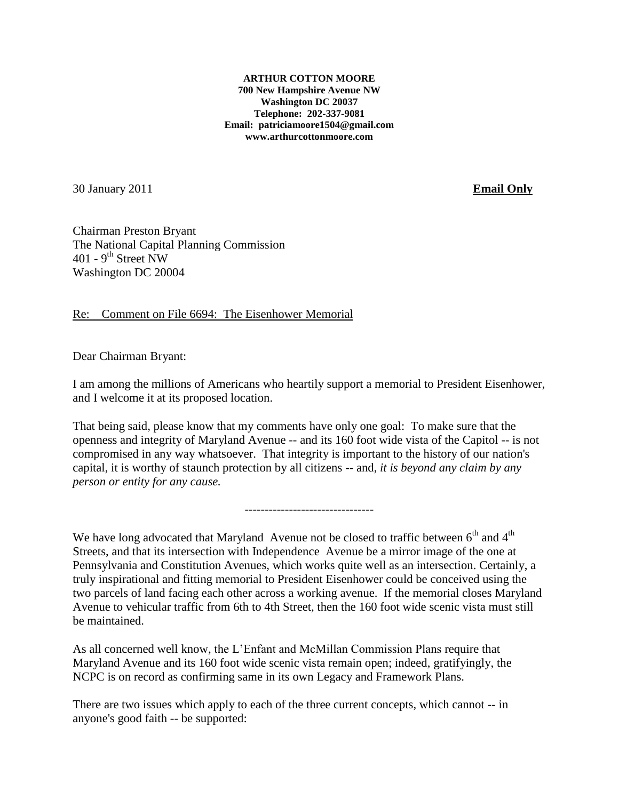**ARTHUR COTTON MOORE 700 New Hampshire Avenue NW Washington DC 20037 Telephone: 202-337-9081 Email: patriciamoore1504@gmail.com www.arthurcottonmoore.com**

30 January 2011 **Email Only**

Chairman Preston Bryant The National Capital Planning Commission  $401 - 9$ <sup>th</sup> Street NW Washington DC 20004

Re: Comment on File 6694: The Eisenhower Memorial

Dear Chairman Bryant:

I am among the millions of Americans who heartily support a memorial to President Eisenhower, and I welcome it at its proposed location.

That being said, please know that my comments have only one goal: To make sure that the openness and integrity of Maryland Avenue -- and its 160 foot wide vista of the Capitol -- is not compromised in any way whatsoever. That integrity is important to the history of our nation's capital, it is worthy of staunch protection by all citizens -- and, *it is beyond any claim by any person or entity for any cause.*

--------------------------------

We have long advocated that Maryland Avenue not be closed to traffic between  $6<sup>th</sup>$  and  $4<sup>th</sup>$ Streets, and that its intersection with Independence Avenue be a mirror image of the one at Pennsylvania and Constitution Avenues, which works quite well as an intersection. Certainly, a truly inspirational and fitting memorial to President Eisenhower could be conceived using the two parcels of land facing each other across a working avenue. If the memorial closes Maryland Avenue to vehicular traffic from 6th to 4th Street, then the 160 foot wide scenic vista must still be maintained.

As all concerned well know, the L'Enfant and McMillan Commission Plans require that Maryland Avenue and its 160 foot wide scenic vista remain open; indeed, gratifyingly, the NCPC is on record as confirming same in its own Legacy and Framework Plans.

There are two issues which apply to each of the three current concepts, which cannot -- in anyone's good faith -- be supported: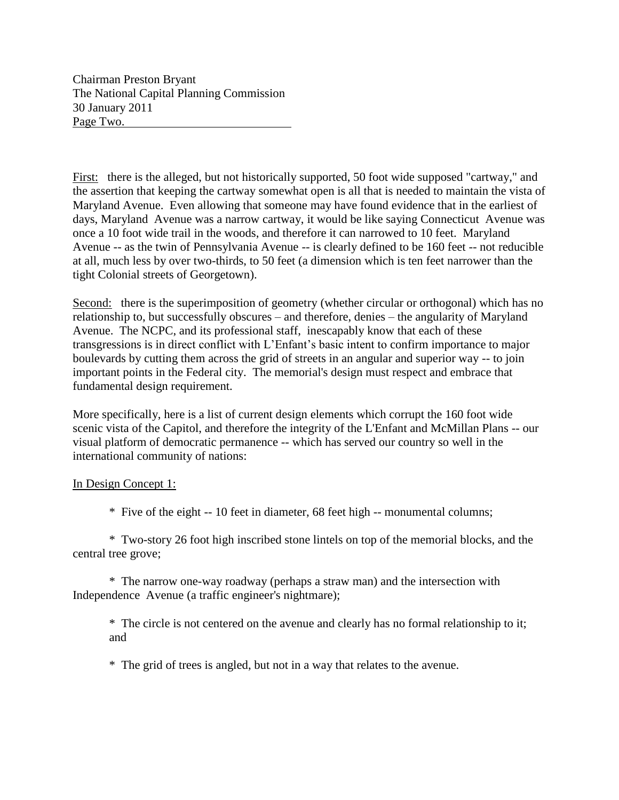Chairman Preston Bryant The National Capital Planning Commission 30 January 2011 Page Two.

First: there is the alleged, but not historically supported, 50 foot wide supposed "cartway," and the assertion that keeping the cartway somewhat open is all that is needed to maintain the vista of Maryland Avenue. Even allowing that someone may have found evidence that in the earliest of days, Maryland Avenue was a narrow cartway, it would be like saying Connecticut Avenue was once a 10 foot wide trail in the woods, and therefore it can narrowed to 10 feet. Maryland Avenue -- as the twin of Pennsylvania Avenue -- is clearly defined to be 160 feet -- not reducible at all, much less by over two-thirds, to 50 feet (a dimension which is ten feet narrower than the tight Colonial streets of Georgetown).

Second: there is the superimposition of geometry (whether circular or orthogonal) which has no relationship to, but successfully obscures – and therefore, denies – the angularity of Maryland Avenue. The NCPC, and its professional staff, inescapably know that each of these transgressions is in direct conflict with L'Enfant's basic intent to confirm importance to major boulevards by cutting them across the grid of streets in an angular and superior way -- to join important points in the Federal city. The memorial's design must respect and embrace that fundamental design requirement.

More specifically, here is a list of current design elements which corrupt the 160 foot wide scenic vista of the Capitol, and therefore the integrity of the L'Enfant and McMillan Plans -- our visual platform of democratic permanence -- which has served our country so well in the international community of nations:

## In Design Concept 1:

\* Five of the eight -- 10 feet in diameter, 68 feet high -- monumental columns;

\* Two-story 26 foot high inscribed stone lintels on top of the memorial blocks, and the central tree grove;

\* The narrow one-way roadway (perhaps a straw man) and the intersection with Independence Avenue (a traffic engineer's nightmare);

\* The circle is not centered on the avenue and clearly has no formal relationship to it; and

\* The grid of trees is angled, but not in a way that relates to the avenue.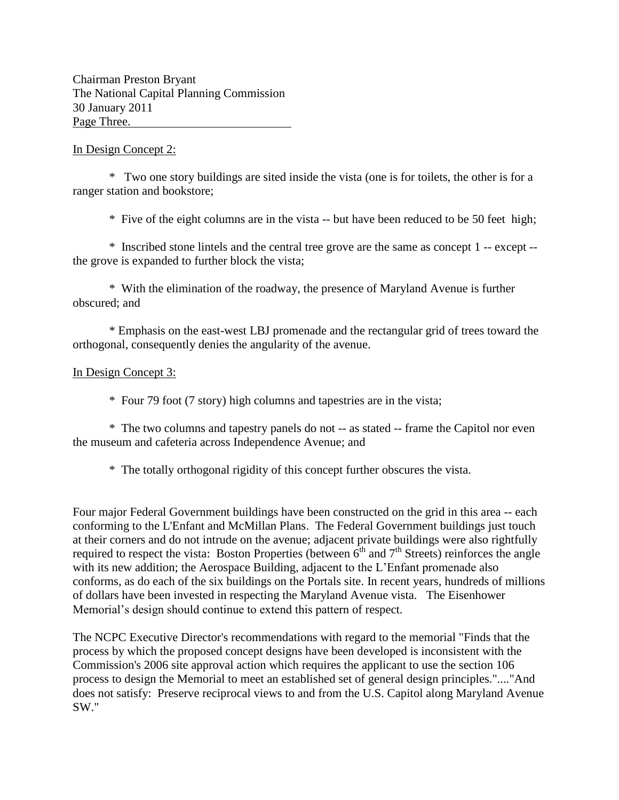Chairman Preston Bryant The National Capital Planning Commission 30 January 2011 Page Three.

## In Design Concept 2:

\* Two one story buildings are sited inside the vista (one is for toilets, the other is for a ranger station and bookstore;

\* Five of the eight columns are in the vista -- but have been reduced to be 50 feet high;

\* Inscribed stone lintels and the central tree grove are the same as concept 1 -- except - the grove is expanded to further block the vista;

\* With the elimination of the roadway, the presence of Maryland Avenue is further obscured; and

\* Emphasis on the east-west LBJ promenade and the rectangular grid of trees toward the orthogonal, consequently denies the angularity of the avenue.

## In Design Concept 3:

\* Four 79 foot (7 story) high columns and tapestries are in the vista;

\* The two columns and tapestry panels do not -- as stated -- frame the Capitol nor even the museum and cafeteria across Independence Avenue; and

\* The totally orthogonal rigidity of this concept further obscures the vista.

Four major Federal Government buildings have been constructed on the grid in this area -- each conforming to the L'Enfant and McMillan Plans. The Federal Government buildings just touch at their corners and do not intrude on the avenue; adjacent private buildings were also rightfully required to respect the vista: Boston Properties (between  $6<sup>th</sup>$  and  $7<sup>th</sup>$  Streets) reinforces the angle with its new addition; the Aerospace Building, adjacent to the L'Enfant promenade also conforms, as do each of the six buildings on the Portals site. In recent years, hundreds of millions of dollars have been invested in respecting the Maryland Avenue vista. The Eisenhower Memorial's design should continue to extend this pattern of respect.

The NCPC Executive Director's recommendations with regard to the memorial "Finds that the process by which the proposed concept designs have been developed is inconsistent with the Commission's 2006 site approval action which requires the applicant to use the section 106 process to design the Memorial to meet an established set of general design principles."...."And does not satisfy: Preserve reciprocal views to and from the U.S. Capitol along Maryland Avenue SW."